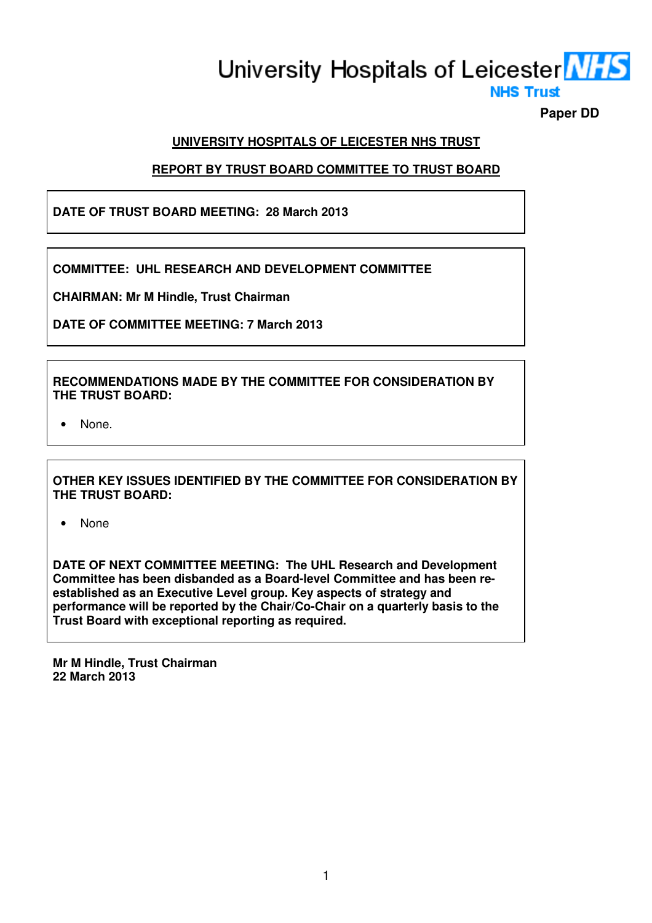# University Hospitals of Leicester **NHS NHS Trust**

**Paper DD** 

# **UNIVERSITY HOSPITALS OF LEICESTER NHS TRUST**

# **REPORT BY TRUST BOARD COMMITTEE TO TRUST BOARD**

# **DATE OF TRUST BOARD MEETING: 28 March 2013**

**COMMITTEE: UHL RESEARCH AND DEVELOPMENT COMMITTEE** 

**CHAIRMAN: Mr M Hindle, Trust Chairman** 

**DATE OF COMMITTEE MEETING: 7 March 2013** 

## **RECOMMENDATIONS MADE BY THE COMMITTEE FOR CONSIDERATION BY THE TRUST BOARD:**

None.

**OTHER KEY ISSUES IDENTIFIED BY THE COMMITTEE FOR CONSIDERATION BY THE TRUST BOARD:** 

• None

**DATE OF NEXT COMMITTEE MEETING: The UHL Research and Development Committee has been disbanded as a Board-level Committee and has been reestablished as an Executive Level group. Key aspects of strategy and performance will be reported by the Chair/Co-Chair on a quarterly basis to the Trust Board with exceptional reporting as required.**

**Mr M Hindle, Trust Chairman 22 March 2013**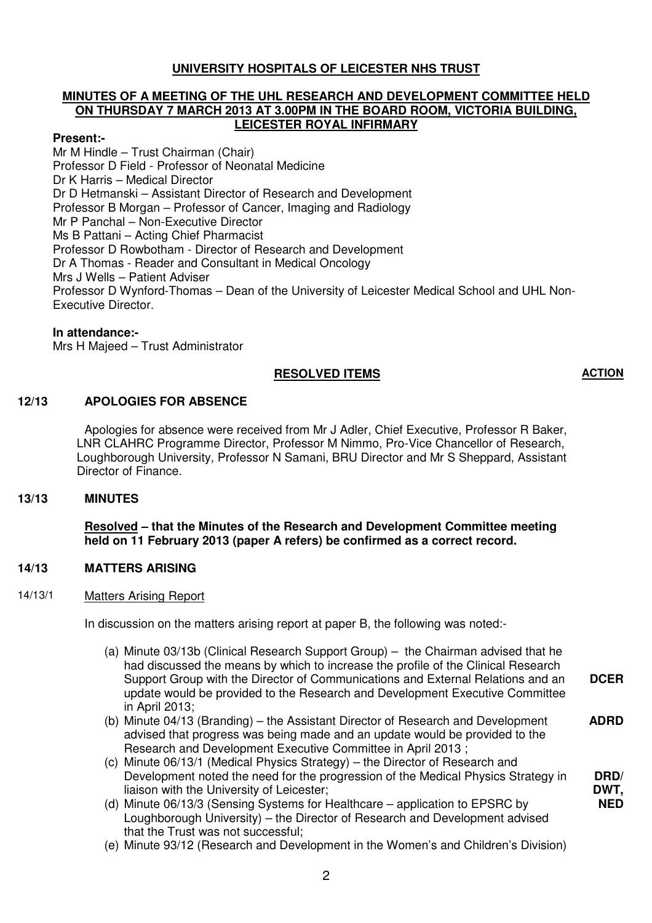## **UNIVERSITY HOSPITALS OF LEICESTER NHS TRUST**

#### **MINUTES OF A MEETING OF THE UHL RESEARCH AND DEVELOPMENT COMMITTEE HELD ON THURSDAY 7 MARCH 2013 AT 3.00PM IN THE BOARD ROOM, VICTORIA BUILDING, LEICESTER ROYAL INFIRMARY**

#### **Present:-**

Mr M Hindle – Trust Chairman (Chair) Professor D Field - Professor of Neonatal Medicine Dr K Harris – Medical Director Dr D Hetmanski – Assistant Director of Research and Development Professor B Morgan – Professor of Cancer, Imaging and Radiology Mr P Panchal – Non-Executive Director Ms B Pattani – Acting Chief Pharmacist Professor D Rowbotham - Director of Research and Development Dr A Thomas - Reader and Consultant in Medical Oncology Mrs J Wells – Patient Adviser Professor D Wynford-Thomas – Dean of the University of Leicester Medical School and UHL Non-Executive Director.

## **In attendance:-**

Mrs H Majeed – Trust Administrator

## **RESOLVED ITEMS ACTION**

**DRD/ DWT, NED**

## **12/13 APOLOGIES FOR ABSENCE**

 Apologies for absence were received from Mr J Adler, Chief Executive, Professor R Baker, LNR CLAHRC Programme Director, Professor M Nimmo, Pro-Vice Chancellor of Research, Loughborough University, Professor N Samani, BRU Director and Mr S Sheppard, Assistant Director of Finance.

#### **13/13 MINUTES**

 **Resolved – that the Minutes of the Research and Development Committee meeting held on 11 February 2013 (paper A refers) be confirmed as a correct record.** 

## **14/13 MATTERS ARISING**

14/13/1 Matters Arising Report

In discussion on the matters arising report at paper B, the following was noted:-

- (a) Minute 03/13b (Clinical Research Support Group) the Chairman advised that he had discussed the means by which to increase the profile of the Clinical Research Support Group with the Director of Communications and External Relations and an update would be provided to the Research and Development Executive Committee in April 2013; **DCER**
- (b) Minute 04/13 (Branding) the Assistant Director of Research and Development advised that progress was being made and an update would be provided to the Research and Development Executive Committee in April 2013 ; **ADRD**
- (c) Minute 06/13/1 (Medical Physics Strategy) the Director of Research and Development noted the need for the progression of the Medical Physics Strategy in liaison with the University of Leicester;
- (d) Minute 06/13/3 (Sensing Systems for Healthcare application to EPSRC by Loughborough University) – the Director of Research and Development advised that the Trust was not successful;
- (e) Minute 93/12 (Research and Development in the Women's and Children's Division)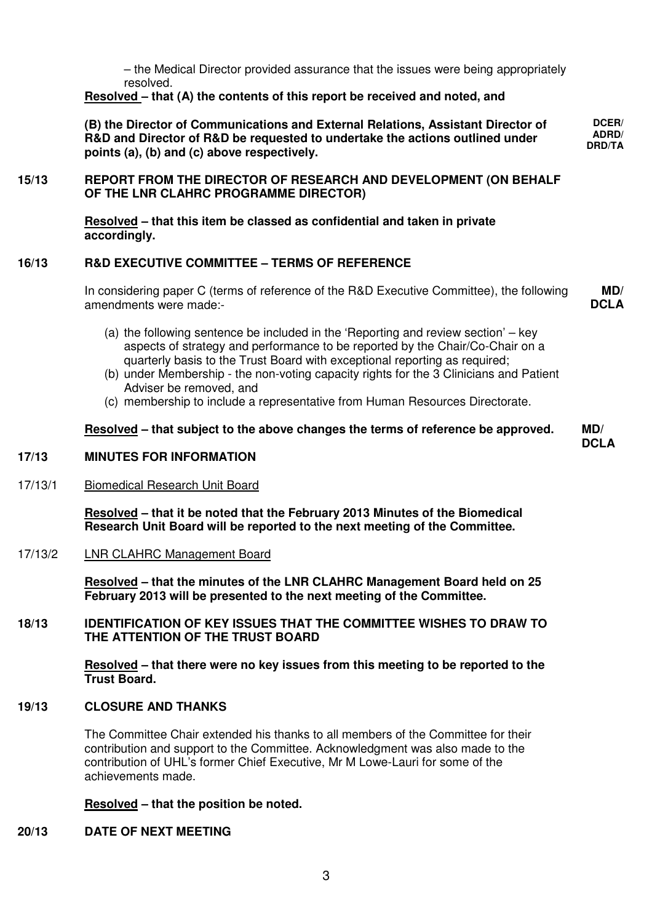– the Medical Director provided assurance that the issues were being appropriately resolved.

> **DCER/ ADRD/ DRD/TA**

## **Resolved – that (A) the contents of this report be received and noted, and**

**(B) the Director of Communications and External Relations, Assistant Director of R&D and Director of R&D be requested to undertake the actions outlined under points (a), (b) and (c) above respectively.** 

## **15/13 REPORT FROM THE DIRECTOR OF RESEARCH AND DEVELOPMENT (ON BEHALF OF THE LNR CLAHRC PROGRAMME DIRECTOR)**

 **Resolved – that this item be classed as confidential and taken in private accordingly.** 

## **16/13 R&D EXECUTIVE COMMITTEE – TERMS OF REFERENCE**

In considering paper C (terms of reference of the R&D Executive Committee), the following amendments were made:- **MD/ DCLA**

- (a) the following sentence be included in the 'Reporting and review section' key aspects of strategy and performance to be reported by the Chair/Co-Chair on a quarterly basis to the Trust Board with exceptional reporting as required;
- (b) under Membership the non-voting capacity rights for the 3 Clinicians and Patient Adviser be removed, and
- (c) membership to include a representative from Human Resources Directorate.

#### **Resolved – that subject to the above changes the terms of reference be approved. MD/ DCLA**

#### **17/13 MINUTES FOR INFORMATION**

#### 17/13/1 Biomedical Research Unit Board

 **Resolved – that it be noted that the February 2013 Minutes of the Biomedical Research Unit Board will be reported to the next meeting of the Committee.** 

#### 17/13/2 LNR CLAHRC Management Board

 **Resolved – that the minutes of the LNR CLAHRC Management Board held on 25 February 2013 will be presented to the next meeting of the Committee.** 

## **18/13 IDENTIFICATION OF KEY ISSUES THAT THE COMMITTEE WISHES TO DRAW TO THE ATTENTION OF THE TRUST BOARD**

 **Resolved – that there were no key issues from this meeting to be reported to the Trust Board.** 

## **19/13 CLOSURE AND THANKS**

The Committee Chair extended his thanks to all members of the Committee for their contribution and support to the Committee. Acknowledgment was also made to the contribution of UHL's former Chief Executive, Mr M Lowe-Lauri for some of the achievements made.

#### **Resolved – that the position be noted.**

#### **20/13 DATE OF NEXT MEETING**